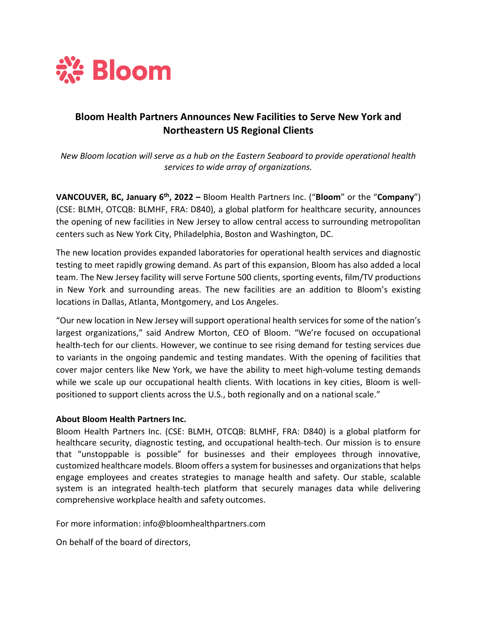

## **Bloom Health Partners Announces New Facilities to Serve New York and Northeastern US Regional Clients**

*New Bloom location will serve as a hub on the Eastern Seaboard to provide operational health services to wide array of organizations.*

**VANCOUVER, BC, January 6th, 2022 –** Bloom Health Partners Inc. ("**Bloom**" or the "**Company**") (CSE: BLMH, OTCQB: BLMHF, FRA: D840), a global platform for healthcare security, announces the opening of new facilities in New Jersey to allow central access to surrounding metropolitan centers such as New York City, Philadelphia, Boston and Washington, DC.

The new location provides expanded laboratories for operational health services and diagnostic testing to meet rapidly growing demand. As part of this expansion, Bloom has also added a local team. The New Jersey facility will serve Fortune 500 clients, sporting events, film/TV productions in New York and surrounding areas. The new facilities are an addition to Bloom's existing locations in Dallas, Atlanta, Montgomery, and Los Angeles.

"Our new location in New Jersey will support operational health services for some of the nation's largest organizations," said Andrew Morton, CEO of Bloom. "We're focused on occupational health-tech for our clients. However, we continue to see rising demand for testing services due to variants in the ongoing pandemic and testing mandates. With the opening of facilities that cover major centers like New York, we have the ability to meet high-volume testing demands while we scale up our occupational health clients. With locations in key cities, Bloom is wellpositioned to support clients across the U.S., both regionally and on a national scale."

## **About Bloom Health Partners Inc.**

Bloom Health Partners Inc. (CSE: BLMH, OTCQB: BLMHF, FRA: D840) is a global platform for healthcare security, diagnostic testing, and occupational health-tech. Our mission is to ensure that "unstoppable is possible" for businesses and their employees through innovative, customized healthcare models. Bloom offers a system for businesses and organizations that helps engage employees and creates strategies to manage health and safety. Our stable, scalable system is an integrated health-tech platform that securely manages data while delivering comprehensive workplace health and safety outcomes.

For more information: info@bloomhealthpartners.com

On behalf of the board of directors,